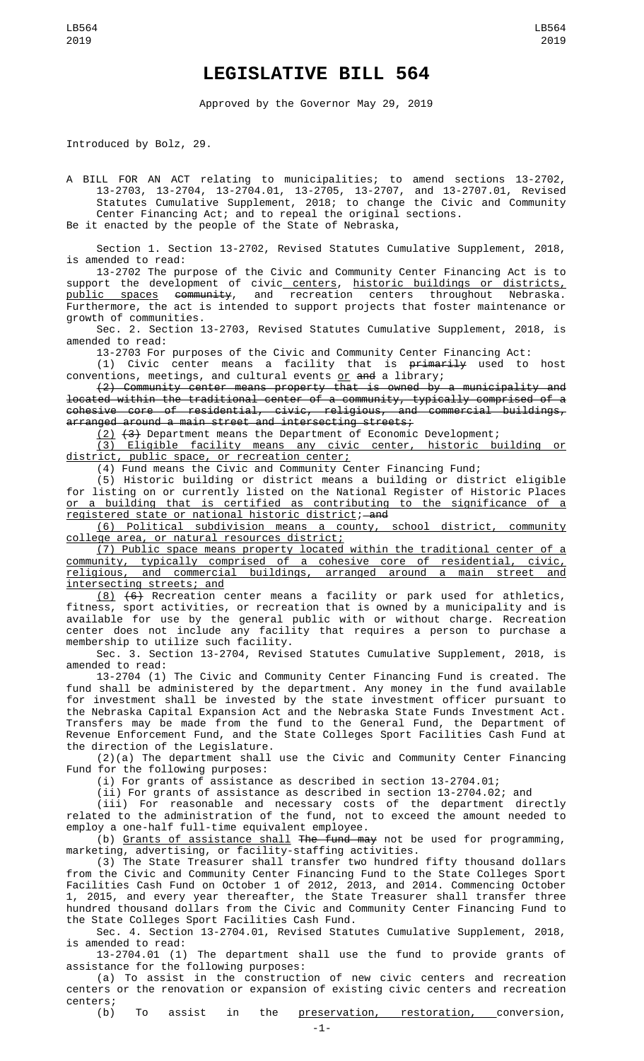## **LEGISLATIVE BILL 564**

Approved by the Governor May 29, 2019

Introduced by Bolz, 29.

A BILL FOR AN ACT relating to municipalities; to amend sections 13-2702, 13-2703, 13-2704, 13-2704.01, 13-2705, 13-2707, and 13-2707.01, Revised Statutes Cumulative Supplement, 2018; to change the Civic and Community Center Financing Act; and to repeal the original sections. Be it enacted by the people of the State of Nebraska,

Section 1. Section 13-2702, Revised Statutes Cumulative Supplement, 2018, is amended to read:

13-2702 The purpose of the Civic and Community Center Financing Act is to support the development of civic centers, historic buildings or districts, <u>public spaces</u> <del>community</del>, and recreation centers throughout Nebraska. Furthermore, the act is intended to support projects that foster maintenance or growth of communities.

Sec. 2. Section 13-2703, Revised Statutes Cumulative Supplement, 2018, is amended to read:

13-2703 For purposes of the Civic and Community Center Financing Act:

(1) Civic center means a facility that is <del>primarily</del> used to host conventions, meetings, and cultural events <u>or</u> <del>and</del> a library;

(2) Community center means property that is owned by a municipality and located within the traditional center of a community, typically comprised of a cohesive core of residential, civic, religious, and commercial buildings, arranged around a main street and intersecting streets;

(2) (3) Department means the Department of Economic Development;

(3) Eligible facility means any civic center, historic building or district, public space, or recreation center;

(4) Fund means the Civic and Community Center Financing Fund;

(5) Historic building or district means a building or district eligible for listing on or currently listed on the National Register of Historic Places or a building that is certified as contributing to the significance of a registered state or national historic district; and

(6) Political subdivision means a county, school district, community college area, or natural resources district;

(7) Public space means property located within the traditional center of a community, typically comprised of a cohesive core of residential, civic, religious, and commercial buildings, arranged around a main street and intersecting streets; and

 $(8)$   $(6)$  Recreation center means a facility or park used for athletics, fitness, sport activities, or recreation that is owned by a municipality and is available for use by the general public with or without charge. Recreation center does not include any facility that requires a person to purchase a membership to utilize such facility.

Sec. 3. Section 13-2704, Revised Statutes Cumulative Supplement, 2018, is amended to read:

13-2704 (1) The Civic and Community Center Financing Fund is created. The fund shall be administered by the department. Any money in the fund available for investment shall be invested by the state investment officer pursuant to the Nebraska Capital Expansion Act and the Nebraska State Funds Investment Act. Transfers may be made from the fund to the General Fund, the Department of Revenue Enforcement Fund, and the State Colleges Sport Facilities Cash Fund at the direction of the Legislature.

(2)(a) The department shall use the Civic and Community Center Financing Fund for the following purposes:

(i) For grants of assistance as described in section 13-2704.01;

(ii) For grants of assistance as described in section 13-2704.02; and

(iii) For reasonable and necessary costs of the department directly related to the administration of the fund, not to exceed the amount needed to employ a one-half full-time equivalent employee.

(b) Grants of assistance shall The fund may not be used for programming, marketing, advertising, or facility-staffing activities.

(3) The State Treasurer shall transfer two hundred fifty thousand dollars from the Civic and Community Center Financing Fund to the State Colleges Sport Facilities Cash Fund on October 1 of 2012, 2013, and 2014. Commencing October 1, 2015, and every year thereafter, the State Treasurer shall transfer three hundred thousand dollars from the Civic and Community Center Financing Fund to the State Colleges Sport Facilities Cash Fund.

Sec. 4. Section 13-2704.01, Revised Statutes Cumulative Supplement, 2018, is amended to read:

13-2704.01 (1) The department shall use the fund to provide grants of assistance for the following purposes:

(a) To assist in the construction of new civic centers and recreation centers or the renovation or expansion of existing civic centers and recreation centers;<br>(b)

To assist in the <u>preservation, restoration, c</u>onversion,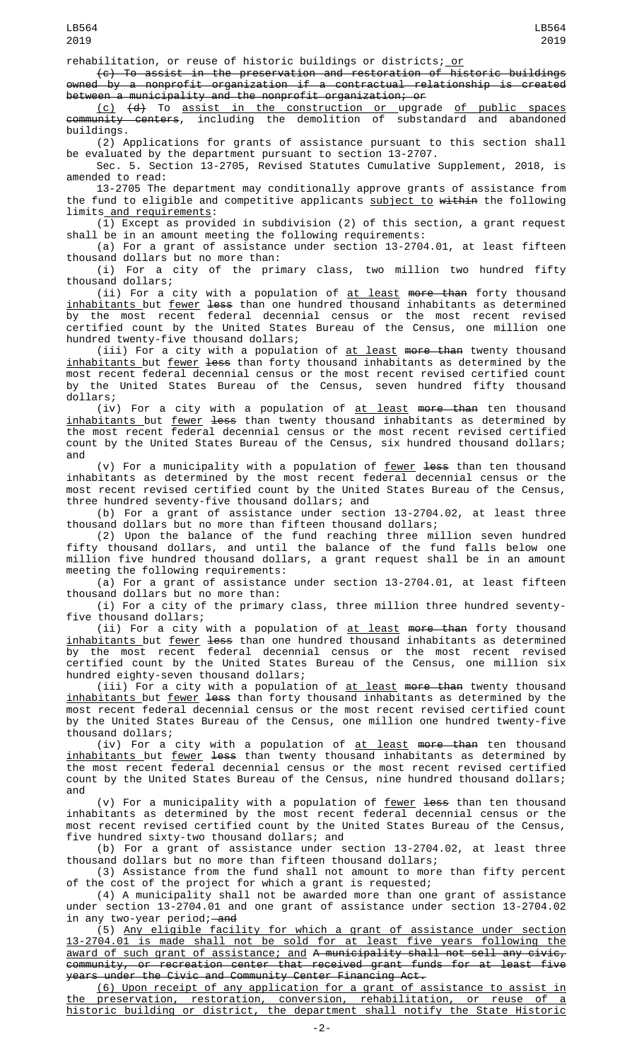rehabilitation, or reuse of historic buildings or districts; or

(c) To assist in the preservation and restoration of historic buildings owned by a nonprofit organization if a contractual relationship is created between a municipality and the nonprofit organization; or

(c) (d) To assist in the construction or upgrade of public spaces community centers, including the demolition of substandard and abandoned buildings.

(2) Applications for grants of assistance pursuant to this section shall be evaluated by the department pursuant to section 13-2707.

Sec. 5. Section 13-2705, Revised Statutes Cumulative Supplement, 2018, is amended to read:

13-2705 The department may conditionally approve grants of assistance from the fund to eligible and competitive applicants subject to within the following limits and requirements:

(1) Except as provided in subdivision (2) of this section, a grant request shall be in an amount meeting the following requirements:

(a) For a grant of assistance under section 13-2704.01, at least fifteen thousand dollars but no more than:

(i) For a city of the primary class, two million two hundred fifty thousand dollars;

(ii) For a city with a population of <u>at least</u> <del>more than</del> forty thousand <u>inhabitants </u>but <u>fewer</u> <del>less</del> than one hundred thousand inhabitants as determined by the most recent federal decennial census or the most recent revised certified count by the United States Bureau of the Census, one million one hundred twenty-five thousand dollars;

(iii) For a city with a population of <u>at least</u> <del>more than</del> twenty thousand <u>inhabitants </u>but <u>fewer</u> <del>less</del> than forty thousand inhabitants as determined by the most recent federal decennial census or the most recent revised certified count by the United States Bureau of the Census, seven hundred fifty thousand dollars;

 $(iv)$  For a city with a population of  $at$  least more than ten thousand <u>inhabitants </u>but <u>fewer</u> <del>less</del> than twenty thousand inhabitants as determined by the most recent federal decennial census or the most recent revised certified count by the United States Bureau of the Census, six hundred thousand dollars; and

(v) For a municipality with a population of fewer less than ten thousand inhabitants as determined by the most recent federal decennial census or the most recent revised certified count by the United States Bureau of the Census, three hundred seventy-five thousand dollars; and

(b) For a grant of assistance under section 13-2704.02, at least three thousand dollars but no more than fifteen thousand dollars;

(2) Upon the balance of the fund reaching three million seven hundred fifty thousand dollars, and until the balance of the fund falls below one million five hundred thousand dollars, a grant request shall be in an amount meeting the following requirements:

(a) For a grant of assistance under section 13-2704.01, at least fifteen thousand dollars but no more than:

(i) For a city of the primary class, three million three hundred seventyfive thousand dollars;

(ii) For a city with a population of <u>at least</u> <del>more than</del> forty thousand <u>inhabitants but fewer</u> <del>less</del> than one hundred thousand inhabitants as determined by the most recent federal decennial census or the most recent revised certified count by the United States Bureau of the Census, one million six hundred eighty-seven thousand dollars;

(iii) For a city with a population of <u>at least</u> <del>more than</del> twenty thousand <u>inhabitants </u>but <u>fewer</u> <del>less</del> than forty thousand inhabitants as determined by the most recent federal decennial census or the most recent revised certified count by the United States Bureau of the Census, one million one hundred twenty-five thousand dollars;

(iv) For a city with a population of <u>at least</u> <del>more than</del> ten thousand <u>inhabitants </u>but <u>fewer</u> <del>less</del> than twenty thousand inhabitants as determined by the most recent federal decennial census or the most recent revised certified count by the United States Bureau of the Census, nine hundred thousand dollars; and

(v) For a municipality with a population of <u>fewer</u> <del>less</del> than ten thousand inhabitants as determined by the most recent federal decennial census or the most recent revised certified count by the United States Bureau of the Census, five hundred sixty-two thousand dollars; and

(b) For a grant of assistance under section 13-2704.02, at least three thousand dollars but no more than fifteen thousand dollars;

(3) Assistance from the fund shall not amount to more than fifty percent of the cost of the project for which a grant is requested;

(4) A municipality shall not be awarded more than one grant of assistance under section 13-2704.01 and one grant of assistance under section 13-2704.02 in any two-year period;—<del>and</del>

(5) Any eligible facility for which a grant of assistance under section 13-2704.01 is made shall not be sold for at least five years following the award of such grant of assistance; and A municipality shall not sell any civic, community, or recreation center that received grant funds for at least five years under the Civic and Community Center Financing Act.

(6) Upon receipt of any application for a grant of assistance to assist in the preservation, restoration, conversion, rehabilitation, or reuse of a historic building or district, the department shall notify the State Historic